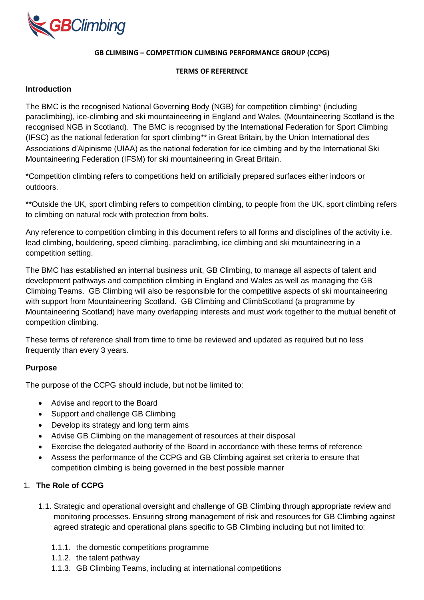

#### **GB CLIMBING – COMPETITION CLIMBING PERFORMANCE GROUP (CCPG)**

#### **TERMS OF REFERENCE**

#### **Introduction**

The BMC is the recognised National Governing Body (NGB) for competition climbing\* (including paraclimbing), ice-climbing and ski mountaineering in England and Wales. (Mountaineering Scotland is the recognised NGB in Scotland). The BMC is recognised by the International Federation for Sport Climbing (IFSC) as the national federation for sport climbing\*\* in Great Britain, by the Union International des Associations d'Alpinisme (UIAA) as the national federation for ice climbing and by the International Ski Mountaineering Federation (IFSM) for ski mountaineering in Great Britain.

\*Competition climbing refers to competitions held on artificially prepared surfaces either indoors or outdoors.

\*\*Outside the UK, sport climbing refers to competition climbing, to people from the UK, sport climbing refers to climbing on natural rock with protection from bolts.

Any reference to competition climbing in this document refers to all forms and disciplines of the activity i.e. lead climbing, bouldering, speed climbing, paraclimbing, ice climbing and ski mountaineering in a competition setting.

The BMC has established an internal business unit, GB Climbing, to manage all aspects of talent and development pathways and competition climbing in England and Wales as well as managing the GB Climbing Teams. GB Climbing will also be responsible for the competitive aspects of ski mountaineering with support from Mountaineering Scotland. GB Climbing and ClimbScotland (a programme by Mountaineering Scotland) have many overlapping interests and must work together to the mutual benefit of competition climbing.

These terms of reference shall from time to time be reviewed and updated as required but no less frequently than every 3 years.

# **Purpose**

The purpose of the CCPG should include, but not be limited to:

- Advise and report to the Board
- Support and challenge GB Climbing
- Develop its strategy and long term aims
- Advise GB Climbing on the management of resources at their disposal
- Exercise the delegated authority of the Board in accordance with these terms of reference
- Assess the performance of the CCPG and GB Climbing against set criteria to ensure that competition climbing is being governed in the best possible manner

# 1. **The Role of CCPG**

- 1.1. Strategic and operational oversight and challenge of GB Climbing through appropriate review and monitoring processes. Ensuring strong management of risk and resources for GB Climbing against agreed strategic and operational plans specific to GB Climbing including but not limited to:
	- 1.1.1. the domestic competitions programme
	- 1.1.2. the talent pathway
	- 1.1.3. GB Climbing Teams, including at international competitions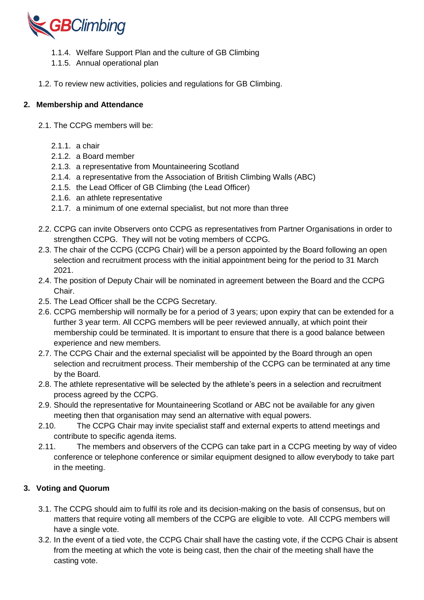

- 1.1.4. Welfare Support Plan and the culture of GB Climbing
- 1.1.5. Annual operational plan
- 1.2. To review new activities, policies and regulations for GB Climbing.

### **2. Membership and Attendance**

- 2.1. The CCPG members will be:
	- $2.1.1$  a chair
	- 2.1.2. a Board member
	- 2.1.3. a representative from Mountaineering Scotland
	- 2.1.4. a representative from the Association of British Climbing Walls (ABC)
	- 2.1.5. the Lead Officer of GB Climbing (the Lead Officer)
	- 2.1.6. an athlete representative
	- 2.1.7. a minimum of one external specialist, but not more than three
- 2.2. CCPG can invite Observers onto CCPG as representatives from Partner Organisations in order to strengthen CCPG. They will not be voting members of CCPG.
- 2.3. The chair of the CCPG (CCPG Chair) will be a person appointed by the Board following an open selection and recruitment process with the initial appointment being for the period to 31 March 2021.
- 2.4. The position of Deputy Chair will be nominated in agreement between the Board and the CCPG Chair.
- 2.5. The Lead Officer shall be the CCPG Secretary.
- 2.6. CCPG membership will normally be for a period of 3 years; upon expiry that can be extended for a further 3 year term. All CCPG members will be peer reviewed annually, at which point their membership could be terminated. It is important to ensure that there is a good balance between experience and new members.
- 2.7. The CCPG Chair and the external specialist will be appointed by the Board through an open selection and recruitment process. Their membership of the CCPG can be terminated at any time by the Board.
- 2.8. The athlete representative will be selected by the athlete's peers in a selection and recruitment process agreed by the CCPG.
- 2.9. Should the representative for Mountaineering Scotland or ABC not be available for any given meeting then that organisation may send an alternative with equal powers.
- 2.10. The CCPG Chair may invite specialist staff and external experts to attend meetings and contribute to specific agenda items.
- 2.11. The members and observers of the CCPG can take part in a CCPG meeting by way of video conference or telephone conference or similar equipment designed to allow everybody to take part in the meeting.

# **3. Voting and Quorum**

- 3.1. The CCPG should aim to fulfil its role and its decision-making on the basis of consensus, but on matters that require voting all members of the CCPG are eligible to vote. All CCPG members will have a single vote.
- 3.2. In the event of a tied vote, the CCPG Chair shall have the casting vote, if the CCPG Chair is absent from the meeting at which the vote is being cast, then the chair of the meeting shall have the casting vote.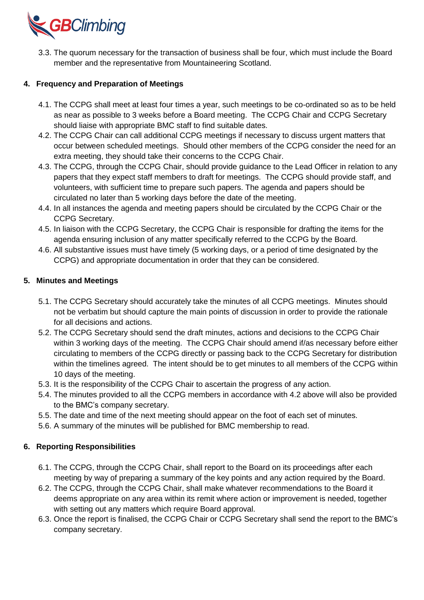

3.3. The quorum necessary for the transaction of business shall be four, which must include the Board member and the representative from Mountaineering Scotland.

## **4. Frequency and Preparation of Meetings**

- 4.1. The CCPG shall meet at least four times a year, such meetings to be co-ordinated so as to be held as near as possible to 3 weeks before a Board meeting. The CCPG Chair and CCPG Secretary should liaise with appropriate BMC staff to find suitable dates.
- 4.2. The CCPG Chair can call additional CCPG meetings if necessary to discuss urgent matters that occur between scheduled meetings. Should other members of the CCPG consider the need for an extra meeting, they should take their concerns to the CCPG Chair.
- 4.3. The CCPG, through the CCPG Chair, should provide guidance to the Lead Officer in relation to any papers that they expect staff members to draft for meetings. The CCPG should provide staff, and volunteers, with sufficient time to prepare such papers. The agenda and papers should be circulated no later than 5 working days before the date of the meeting.
- 4.4. In all instances the agenda and meeting papers should be circulated by the CCPG Chair or the CCPG Secretary.
- 4.5. In liaison with the CCPG Secretary, the CCPG Chair is responsible for drafting the items for the agenda ensuring inclusion of any matter specifically referred to the CCPG by the Board.
- 4.6. All substantive issues must have timely (5 working days, or a period of time designated by the CCPG) and appropriate documentation in order that they can be considered.

#### **5. Minutes and Meetings**

- 5.1. The CCPG Secretary should accurately take the minutes of all CCPG meetings. Minutes should not be verbatim but should capture the main points of discussion in order to provide the rationale for all decisions and actions.
- 5.2. The CCPG Secretary should send the draft minutes, actions and decisions to the CCPG Chair within 3 working days of the meeting. The CCPG Chair should amend if/as necessary before either circulating to members of the CCPG directly or passing back to the CCPG Secretary for distribution within the timelines agreed. The intent should be to get minutes to all members of the CCPG within 10 days of the meeting.
- 5.3. It is the responsibility of the CCPG Chair to ascertain the progress of any action.
- 5.4. The minutes provided to all the CCPG members in accordance with 4.2 above will also be provided to the BMC's company secretary.
- 5.5. The date and time of the next meeting should appear on the foot of each set of minutes.
- 5.6. A summary of the minutes will be published for BMC membership to read.

#### **6. Reporting Responsibilities**

- 6.1. The CCPG, through the CCPG Chair, shall report to the Board on its proceedings after each meeting by way of preparing a summary of the key points and any action required by the Board.
- 6.2. The CCPG, through the CCPG Chair, shall make whatever recommendations to the Board it deems appropriate on any area within its remit where action or improvement is needed, together with setting out any matters which require Board approval.
- 6.3. Once the report is finalised, the CCPG Chair or CCPG Secretary shall send the report to the BMC's company secretary.